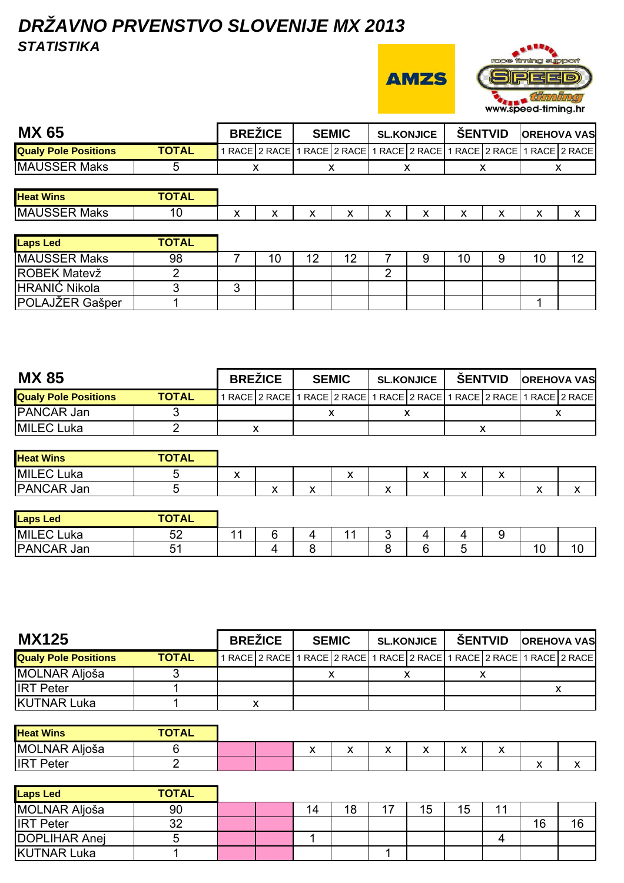## *DRŽAVNO PRVENSTVO SLOVENIJE MX 2013 STATISTIKA*

**AMZS** 



| <b>MX 65</b>                |              |   | <b>BREZICE</b> |   | <b>SEMIC</b> | <b>SL.KONJICE</b> |  |   | <b>SENTVID</b> | <b>OREHOVA VAS</b>                                                    |  |
|-----------------------------|--------------|---|----------------|---|--------------|-------------------|--|---|----------------|-----------------------------------------------------------------------|--|
| <b>Qualy Pole Positions</b> | <b>TOTAL</b> |   |                |   |              |                   |  |   |                | 1 RACE 2 RACE 1 RACE 2 RACE 1 RACE 2 RACE 1 RACE 2 RACE 1 RACE 2 RACE |  |
| MAUSSER Maks                |              |   |                |   |              |                   |  |   |                |                                                                       |  |
|                             |              |   |                |   |              |                   |  |   |                |                                                                       |  |
| <b>Heat Wins</b>            | <b>TOTAL</b> |   |                |   |              |                   |  |   |                |                                                                       |  |
| MAUSSER Maks                | 10           | х |                | x |              | x                 |  | х |                | ⋏                                                                     |  |

| <b>Laps Led</b>      | <b>TOTAL</b> |    |    |    |  |    |    |            |
|----------------------|--------------|----|----|----|--|----|----|------------|
| <b>MAUSSER Maks</b>  | 98           | 10 | 12 | 12 |  | 10 | 10 | $\sqrt{2}$ |
| <b>ROBEK Matevž</b>  |              |    |    |    |  |    |    |            |
| <b>HRANIĆ Nikola</b> |              |    |    |    |  |    |    |            |
| POLAJŽER Gašper      |              |    |    |    |  |    |    |            |

| <b>MX 85</b>                |              | <b>BREZICE</b> | <b>SEMIC</b> |  | <b>SL.KONJICE</b>                                                     | <b>SENTVID</b> | <b>OREHOVA VAS</b> |  |
|-----------------------------|--------------|----------------|--------------|--|-----------------------------------------------------------------------|----------------|--------------------|--|
| <b>Qualy Pole Positions</b> | <b>TOTAL</b> |                |              |  | 1 RACE 2 RACE 1 RACE 2 RACE 1 RACE 2 RACE 1 RACE 2 RACE 1 RACE 2 RACE |                |                    |  |
| <b>PANCAR Jan</b>           |              |                |              |  |                                                                       |                |                    |  |
| MILEC Luka                  |              |                |              |  |                                                                       |                |                    |  |

| <b>Heat Wins</b>  | <b>TOTAL</b> |                   |              |              |           |              |                          |                           |                           |              |  |
|-------------------|--------------|-------------------|--------------|--------------|-----------|--------------|--------------------------|---------------------------|---------------------------|--------------|--|
| <b>MILEC Luka</b> |              | $\mathbf{v}$<br>" |              |              | $\lambda$ |              | $\overline{\phantom{a}}$ | $\mathbf{v}$<br>$\lambda$ | $\ddot{\phantom{0}}$<br>" |              |  |
| <b>PANCAR Jan</b> | ⊾            |                   | $\mathbf{v}$ | $\cdot$<br>Δ |           | $\cdot$<br>↗ |                          |                           |                           | $\mathbf{v}$ |  |

| <b>Laps Led</b>       | <b>TOTAL</b><br><b>IAL</b> |      |   |  |        |        |    |    |
|-----------------------|----------------------------|------|---|--|--------|--------|----|----|
| <b>MILECL</b><br>Luka | 52                         | $-1$ | 4 |  | ▵      |        |    |    |
| PANCAR<br>Jan         | д.<br>. U .                |      | ∼ |  | ∽<br>∽ | -<br>ັ | 10 | 10 |

| <b>MX125</b>                |              | <b>BREZICE</b> | <b>SEMIC</b> |  | <b>SL.KONJICE</b> | <b>SENTVID</b> | <b>OREHOVA VAS</b>                                                    |  |
|-----------------------------|--------------|----------------|--------------|--|-------------------|----------------|-----------------------------------------------------------------------|--|
| <b>Qualy Pole Positions</b> | <b>TOTAL</b> |                |              |  |                   |                | 1 RACE 2 RACE 1 RACE 2 RACE 1 RACE 2 RACE 1 RACE 2 RACE 1 RACE 2 RACE |  |
| MOLNAR Aljoša               |              |                |              |  |                   |                |                                                                       |  |
| <b>IRT</b> Peter            |              |                |              |  |                   |                |                                                                       |  |
| <b>KUTNAR Luka</b>          |              |                |              |  |                   |                |                                                                       |  |

| <b>Heat Wins</b>        | <b>TOTAL</b> |  |                                                |               |              |                                   |               |                                          |                                                  |         |
|-------------------------|--------------|--|------------------------------------------------|---------------|--------------|-----------------------------------|---------------|------------------------------------------|--------------------------------------------------|---------|
| <b>MOLNAR</b><br>Aljoša |              |  | $\overline{\phantom{a}}$<br>$\mathbf{\Lambda}$ | $\cdot$<br>,, | $\cdot$<br>́ | $\ddot{\phantom{0}}$<br>$\lambda$ | $\cdot$<br>,, | $\mathbf{v}$<br>$\overline{\phantom{a}}$ |                                                  |         |
| <b>IRT</b><br>$P$ eter  |              |  |                                                |               |              |                                   |               |                                          | $\ddot{\phantom{0}}$<br>$\overline{\phantom{a}}$ | $\cdot$ |

| <b>Laps Led</b>      | <b>TOTAL</b> |  |    |    |   |    |    |      |    |
|----------------------|--------------|--|----|----|---|----|----|------|----|
| MOLNAR Aljoša        | 90           |  | 14 | 18 | ⇁ | 15 | 15 | -1-1 |    |
| <b>IRT</b> Peter     | າາ<br>ັ      |  |    |    |   |    |    |      | 16 |
| <b>DOPLIHAR Anej</b> |              |  |    |    |   |    |    |      |    |
| <b>KUTNAR Luka</b>   |              |  |    |    |   |    |    |      |    |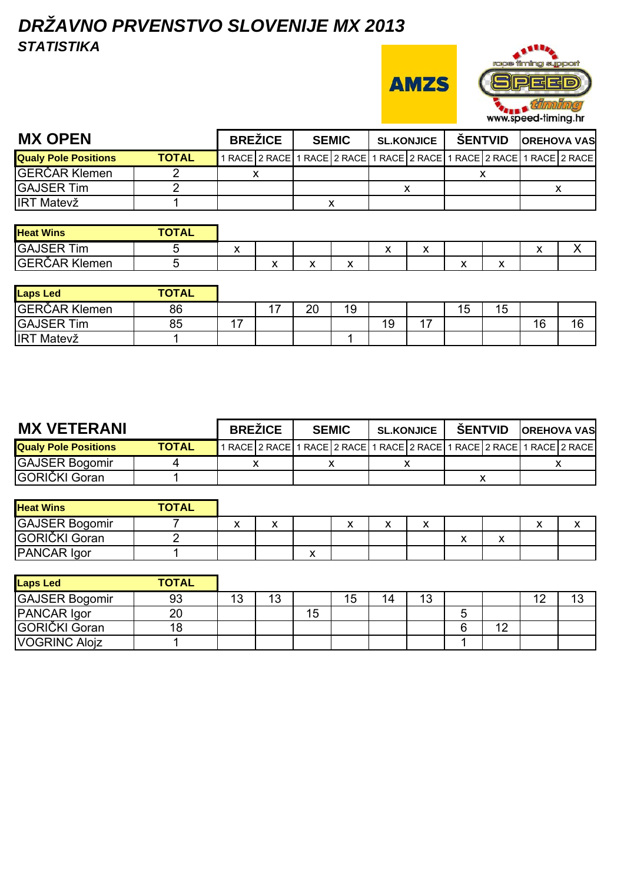## *DRŽAVNO PRVENSTVO SLOVENIJE MX 2013 STATISTIKA*

**AMZS** 



| <b>MX OPEN</b>              |              | <b>BREŽICE</b> | <b>SEMIC</b> | <b>SL.KONJICE</b>                                                     | <b>SENTVID</b> | <b>OREHOVA VAS</b> |  |
|-----------------------------|--------------|----------------|--------------|-----------------------------------------------------------------------|----------------|--------------------|--|
| <b>Qualy Pole Positions</b> | <b>TOTAL</b> |                |              | 1 RACE 2 RACE 1 RACE 2 RACE 1 RACE 2 RACE 1 RACE 2 RACE 1 RACE 2 RACE |                |                    |  |
| <b>GERČAR Klemen</b>        |              |                |              |                                                                       |                |                    |  |
| <b>GAJSER Tim</b>           |              |                |              |                                                                       |                |                    |  |
| <b>IRT Matevž</b>           |              |                |              |                                                                       |                |                    |  |
|                             |              |                |              |                                                                       |                |                    |  |

| <b>Heat Wins</b>     | <b>TOTAL</b> |                           |   |                           |              |                            |                                   |   |     |  |
|----------------------|--------------|---------------------------|---|---------------------------|--------------|----------------------------|-----------------------------------|---|-----|--|
| <b>GAJSER Tim</b>    |              | $\ddot{\phantom{1}}$<br>" |   |                           |              | $\ddot{\phantom{0}}$<br>,, |                                   |   | - - |  |
| <b>GERČAR Klemen</b> |              |                           | ↗ | $\ddot{\phantom{0}}$<br>" | $\mathbf{v}$ |                            | $\ddot{\phantom{1}}$<br>$\lambda$ | ↗ |     |  |

| <b>Laps Led</b>   | <b>TOTAL</b> |                          |    |    |    |    |           |    |    |
|-------------------|--------------|--------------------------|----|----|----|----|-----------|----|----|
| GERČAR Klemen     | 86           | $\overline{\phantom{a}}$ | 20 | 19 |    | 15 | ィド<br>ט ו |    |    |
| <b>GAJSER Tim</b> | 85           |                          |    |    | 19 |    |           | 16 | 16 |
| IRT.<br>Matevž    |              |                          |    |    |    |    |           |    |    |

| <b>MX VETERANI</b>          |              | <b>BREZICE</b> |  | <b>SEMIC</b> |  | <b>SL.KONJICE</b> |  | <b>SENTVID</b> |  | <b>OREHOVA VAS</b>                                                    |
|-----------------------------|--------------|----------------|--|--------------|--|-------------------|--|----------------|--|-----------------------------------------------------------------------|
| <b>Qualy Pole Positions</b> | <b>TOTAL</b> |                |  |              |  |                   |  |                |  | 1 RACE 2 RACE 1 RACE 2 RACE 1 RACE 2 RACE 1 RACE 2 RACE 1 RACE 2 RACE |
| <b>GAJSER Bogomir</b>       |              |                |  |              |  |                   |  |                |  |                                                                       |
| IGORIČKI Goran              |              |                |  |              |  |                   |  |                |  |                                                                       |

| <b>Heat Wins</b>      | <b>TOTAL</b> |        |                           |                          |                               |              |           |  |
|-----------------------|--------------|--------|---------------------------|--------------------------|-------------------------------|--------------|-----------|--|
| <b>GAJSER Bogomir</b> |              | v<br>↗ |                           | $\overline{\phantom{a}}$ |                               |              | $\lambda$ |  |
| GORIČKI Goran         |              |        |                           |                          | $\overline{\phantom{a}}$<br>Δ | $\mathbf{v}$ |           |  |
| PANCAR Igor           |              |        | $\mathbf{v}$<br>$\lambda$ |                          |                               |              |           |  |

| <b>Laps Led</b>       | <b>TOTAL</b> |         |    |    |    |    |    |   |    |    |  |
|-----------------------|--------------|---------|----|----|----|----|----|---|----|----|--|
| <b>GAJSER Bogomir</b> | 93           | 12<br>◡ | 13 |    | 15 | 14 | 13 |   |    | 10 |  |
| PANCAR Igor           | 20           |         |    | 15 |    |    |    | G |    |    |  |
| <b>GORIČKI Goran</b>  | 18           |         |    |    |    |    |    | 6 | 10 |    |  |
| <b>VOGRINC Alojz</b>  |              |         |    |    |    |    |    |   |    |    |  |